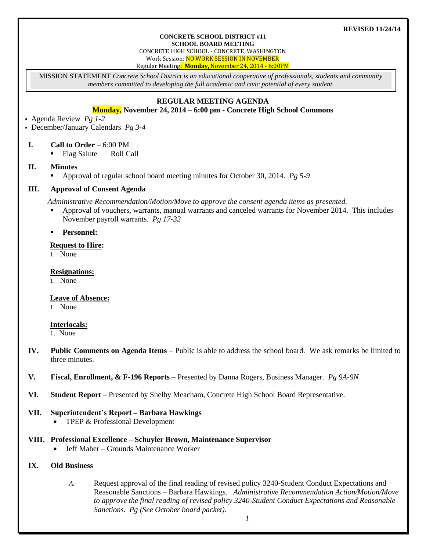#### **REVISED 11/24/14**

#### **CONCRETE SCHOOL DISTRICT #11 SCHOOL BOARD MEETING**

CONCRETE HIGH SCHOOL - CONCRETE, WASHINGTON Work Session: NO WORK SESSION IN NOVEMBER

Regular Meeting: **Monday,** November 24, 2014 - 6:00PM

MISSION STATEMENT *Concrete School District is an educational cooperative of professionals, students and community members committed to developing the full academic and civic potential of every student.*

## **REGULAR MEETING AGENDA**

## **Monday, November 24, 2014 – 6:00 pm - Concrete High School Commons**

Agenda Review *Pg 1-2*

December/January Calendars *Pg 3-4* 

- **I. Call to Order** 6:00 PM
	- Flag Salute Roll Call
- **II. Minutes**
	- Approval of regular school board meeting minutes for October 30, 2014. *Pg 5-9*

#### **III. Approval of Consent Agenda**

*Administrative Recommendation/Motion/Move to approve the consent agenda items as presented.*

- Approval of vouchers, warrants, manual warrants and canceled warrants for November 2014. This includes November payroll warrants. *Pg 17-32*
- **Personnel:**

#### **Request to Hire:**

1. None

### **Resignations:**

1. None

## **Leave of Absence:**

1. None

## **Interlocals:**

1. None

- **IV. Public Comments on Agenda Items** Public is able to address the school board. We ask remarks be limited to three minutes.
- **V. Fiscal, Enrollment, & F-196 Reports –** Presented by Danna Rogers, Business Manager. *Pg 9A-9N*
- **VI. Student Report** Presented by Shelby Meacham, Concrete High School Board Representative.

#### **VII. Superintendent's Report – Barbara Hawkings**

• TPEP & Professional Development

## **VIII. Professional Excellence – Schuyler Brown, Maintenance Supervisor**

Jeff Maher – Grounds Maintenance Worker

# **IX. Old Business**

*A.* Request approval of the final reading of revised policy 3240-Student Conduct Expectations and Reasonable Sanctions – Barbara Hawkings. *Administrative Recommendation Action/Motion/Move to approve the final reading of revised policy 3240-Student Conduct Expectations and Reasonable Sanctions. Pg (See October board packet).*